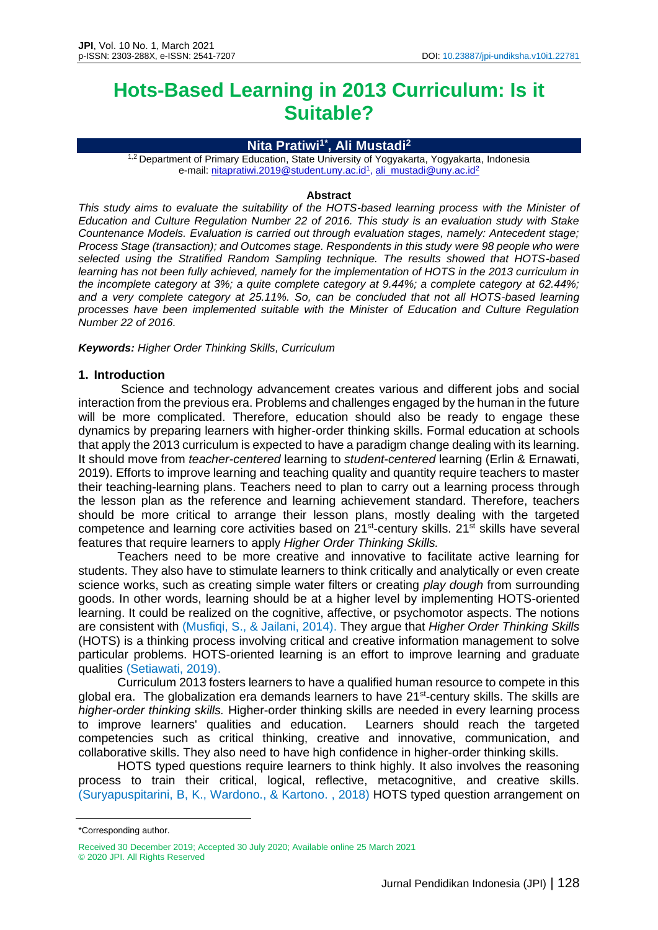# **Hots-Based Learning in 2013 Curriculum: Is it Suitable?**

#### **Nita Pratiwi1\* , Ali Mustadi<sup>2</sup>**

<sup>1,2</sup> Department of Primary Education, State University of Yogyakarta, Yogyakarta, Indonesia e-mail: nitapratiwi.2019@studen[t.uny.ac.id](mailto:ali_mustadi@uny.ac.id)<sup>1</sup>, ali\_mustadi@uny.ac.id<sup>2</sup>

#### **Abstract**

*This study aims to evaluate the suitability of the HOTS-based learning process with the Minister of Education and Culture Regulation Number 22 of 2016. This study is an evaluation study with Stake Countenance Models. Evaluation is carried out through evaluation stages, namely: Antecedent stage; Process Stage (transaction); and Outcomes stage. Respondents in this study were 98 people who were selected using the Stratified Random Sampling technique. The results showed that HOTS-based learning has not been fully achieved, namely for the implementation of HOTS in the 2013 curriculum in the incomplete category at 3%; a quite complete category at 9.44%; a complete category at 62.44%; and a very complete category at 25.11%. So, can be concluded that not all HOTS-based learning processes have been implemented suitable with the Minister of Education and Culture Regulation Number 22 of 2016.*

*Keywords: Higher Order Thinking Skills, Curriculum*

#### **1. Introduction**

Science and technology advancement creates various and different jobs and social interaction from the previous era. Problems and challenges engaged by the human in the future will be more complicated. Therefore, education should also be ready to engage these dynamics by preparing learners with higher-order thinking skills. Formal education at schools that apply the 2013 curriculum is expected to have a paradigm change dealing with its learning. It should move from *teacher-centered* learning to *student-centered* learning (Erlin & Ernawati, 2019). Efforts to improve learning and teaching quality and quantity require teachers to master their teaching-learning plans. Teachers need to plan to carry out a learning process through the lesson plan as the reference and learning achievement standard. Therefore, teachers should be more critical to arrange their lesson plans, mostly dealing with the targeted competence and learning core activities based on 21<sup>st</sup>-century skills. 21<sup>st</sup> skills have several features that require learners to apply *Higher Order Thinking Skills.*

Teachers need to be more creative and innovative to facilitate active learning for students. They also have to stimulate learners to think critically and analytically or even create science works, such as creating simple water filters or creating *play dough* from surrounding goods. In other words, learning should be at a higher level by implementing HOTS-oriented learning. It could be realized on the cognitive, affective, or psychomotor aspects. The notions are consistent with (Musfiqi, S., & Jailani, 2014). They argue that *Higher Order Thinking Skills* (HOTS) is a thinking process involving critical and creative information management to solve particular problems. HOTS-oriented learning is an effort to improve learning and graduate qualities (Setiawati, 2019).

Curriculum 2013 fosters learners to have a qualified human resource to compete in this global era. The globalization era demands learners to have 21<sup>st</sup>-century skills. The skills are *higher-order thinking skills.* Higher-order thinking skills are needed in every learning process to improve learners' qualities and education. Learners should reach the targeted competencies such as critical thinking, creative and innovative, communication, and collaborative skills. They also need to have high confidence in higher-order thinking skills.

HOTS typed questions require learners to think highly. It also involves the reasoning process to train their critical, logical, reflective, metacognitive, and creative skills. (Suryapuspitarini, B, K., Wardono., & Kartono. , 2018) HOTS typed question arrangement on

<sup>\*</sup>Corresponding author.

Received 30 December 2019; Accepted 30 July 2020; Available online 25 March 2021 © 2020 JPI. All Rights Reserved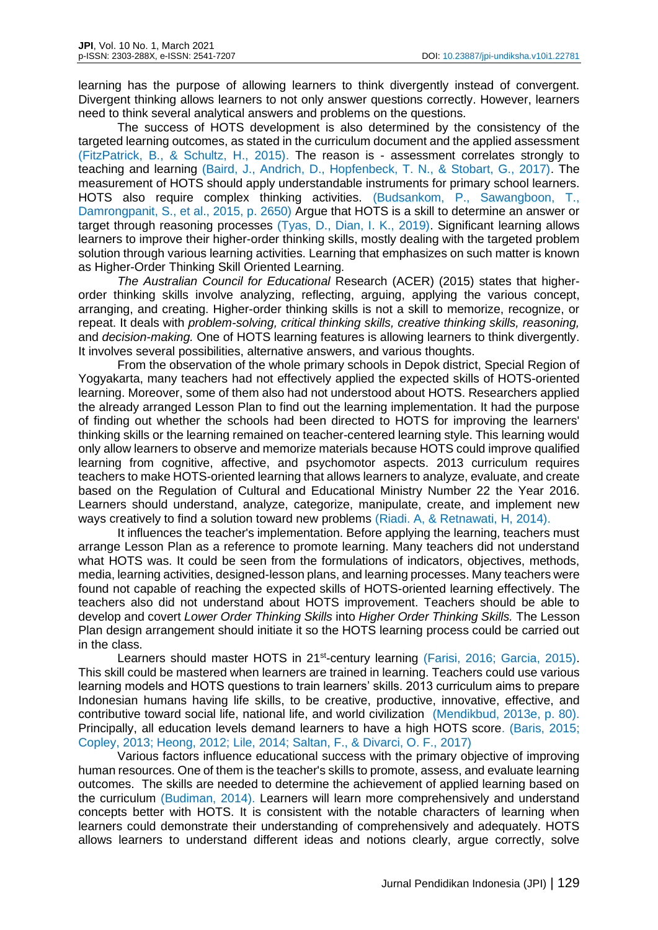learning has the purpose of allowing learners to think divergently instead of convergent. Divergent thinking allows learners to not only answer questions correctly. However, learners need to think several analytical answers and problems on the questions.

The success of HOTS development is also determined by the consistency of the targeted learning outcomes, as stated in the curriculum document and the applied assessment (FitzPatrick, B., & Schultz, H., 2015). The reason is - assessment correlates strongly to teaching and learning (Baird, J., Andrich, D., Hopfenbeck, T. N., & Stobart, G., 2017). The measurement of HOTS should apply understandable instruments for primary school learners. HOTS also require complex thinking activities. (Budsankom, P., Sawangboon, T., Damrongpanit, S., et al., 2015, p. 2650) Argue that HOTS is a skill to determine an answer or target through reasoning processes (Tyas, D., Dian, I. K., 2019). Significant learning allows learners to improve their higher-order thinking skills, mostly dealing with the targeted problem solution through various learning activities. Learning that emphasizes on such matter is known as Higher-Order Thinking Skill Oriented Learning.

*The Australian Council for Educational* Research (ACER) (2015) states that higherorder thinking skills involve analyzing, reflecting, arguing, applying the various concept, arranging, and creating. Higher-order thinking skills is not a skill to memorize, recognize, or repeat. It deals with *problem-solving, critical thinking skills, creative thinking skills, reasoning,* and *decision-making.* One of HOTS learning features is allowing learners to think divergently. It involves several possibilities, alternative answers, and various thoughts.

From the observation of the whole primary schools in Depok district, Special Region of Yogyakarta, many teachers had not effectively applied the expected skills of HOTS-oriented learning. Moreover, some of them also had not understood about HOTS. Researchers applied the already arranged Lesson Plan to find out the learning implementation. It had the purpose of finding out whether the schools had been directed to HOTS for improving the learners' thinking skills or the learning remained on teacher-centered learning style. This learning would only allow learners to observe and memorize materials because HOTS could improve qualified learning from cognitive, affective, and psychomotor aspects. 2013 curriculum requires teachers to make HOTS-oriented learning that allows learners to analyze, evaluate, and create based on the Regulation of Cultural and Educational Ministry Number 22 the Year 2016. Learners should understand, analyze, categorize, manipulate, create, and implement new ways creatively to find a solution toward new problems (Riadi. A, & Retnawati, H, 2014).

It influences the teacher's implementation. Before applying the learning, teachers must arrange Lesson Plan as a reference to promote learning. Many teachers did not understand what HOTS was. It could be seen from the formulations of indicators, objectives, methods, media, learning activities, designed-lesson plans, and learning processes. Many teachers were found not capable of reaching the expected skills of HOTS-oriented learning effectively. The teachers also did not understand about HOTS improvement. Teachers should be able to develop and covert *Lower Order Thinking Skills* into *Higher Order Thinking Skills.* The Lesson Plan design arrangement should initiate it so the HOTS learning process could be carried out in the class.

Learners should master HOTS in 21<sup>st</sup>-century learning (Farisi, 2016; Garcia, 2015). This skill could be mastered when learners are trained in learning. Teachers could use various learning models and HOTS questions to train learners' skills. 2013 curriculum aims to prepare Indonesian humans having life skills, to be creative, productive, innovative, effective, and contributive toward social life, national life, and world civilization (Mendikbud, 2013e, p. 80). Principally, all education levels demand learners to have a high HOTS score. (Baris, 2015; Copley, 2013; Heong, 2012; Lile, 2014; Saltan, F., & Divarci, O. F., 2017)

Various factors influence educational success with the primary objective of improving human resources. One of them is the teacher's skills to promote, assess, and evaluate learning outcomes. The skills are needed to determine the achievement of applied learning based on the curriculum (Budiman, 2014). Learners will learn more comprehensively and understand concepts better with HOTS. It is consistent with the notable characters of learning when learners could demonstrate their understanding of comprehensively and adequately. HOTS allows learners to understand different ideas and notions clearly, argue correctly, solve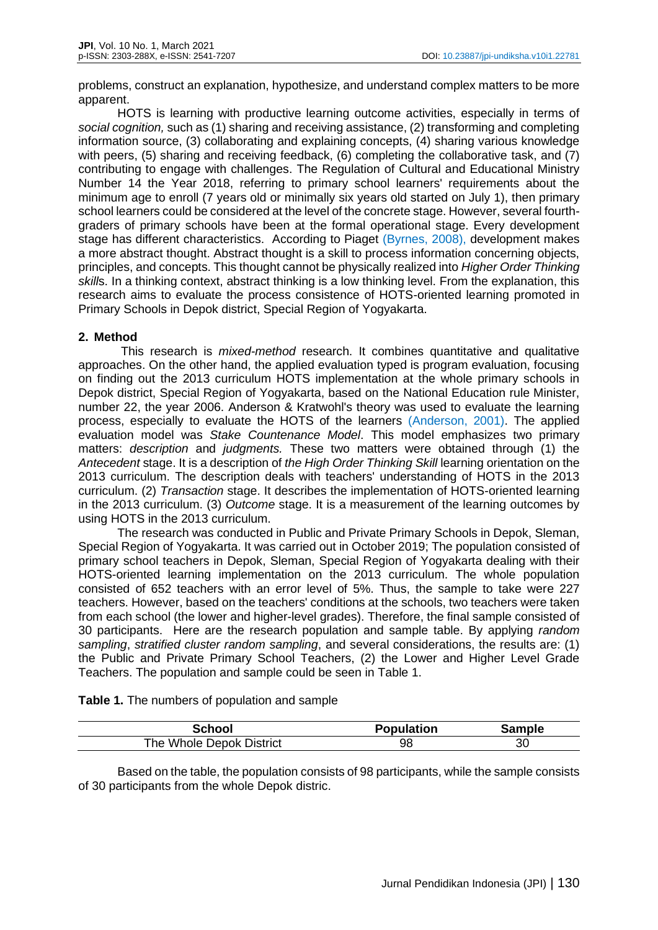problems, construct an explanation, hypothesize, and understand complex matters to be more apparent.

HOTS is learning with productive learning outcome activities, especially in terms of *social cognition,* such as (1) sharing and receiving assistance, (2) transforming and completing information source, (3) collaborating and explaining concepts, (4) sharing various knowledge with peers, (5) sharing and receiving feedback, (6) completing the collaborative task, and (7) contributing to engage with challenges. The Regulation of Cultural and Educational Ministry Number 14 the Year 2018, referring to primary school learners' requirements about the minimum age to enroll (7 years old or minimally six years old started on July 1), then primary school learners could be considered at the level of the concrete stage. However, several fourthgraders of primary schools have been at the formal operational stage. Every development stage has different characteristics. According to Piaget (Byrnes, 2008), development makes a more abstract thought. Abstract thought is a skill to process information concerning objects, principles, and concepts. This thought cannot be physically realized into *Higher Order Thinking skill*s. In a thinking context, abstract thinking is a low thinking level. From the explanation, this research aims to evaluate the process consistence of HOTS-oriented learning promoted in Primary Schools in Depok district, Special Region of Yogyakarta.

## **2. Method**

This research is *mixed-method* research. It combines quantitative and qualitative approaches. On the other hand, the applied evaluation typed is program evaluation, focusing on finding out the 2013 curriculum HOTS implementation at the whole primary schools in Depok district, Special Region of Yogyakarta, based on the National Education rule Minister, number 22, the year 2006. Anderson & Kratwohl's theory was used to evaluate the learning process, especially to evaluate the HOTS of the learners (Anderson, 2001). The applied evaluation model was *Stake Countenance Model*. This model emphasizes two primary matters: *description* and *judgments.* These two matters were obtained through (1) the *Antecedent* stage. It is a description of *the High Order Thinking Skill* learning orientation on the 2013 curriculum. The description deals with teachers' understanding of HOTS in the 2013 curriculum. (2) *Transaction* stage. It describes the implementation of HOTS-oriented learning in the 2013 curriculum. (3) *Outcome* stage. It is a measurement of the learning outcomes by using HOTS in the 2013 curriculum.

The research was conducted in Public and Private Primary Schools in Depok, Sleman, Special Region of Yogyakarta. It was carried out in October 2019; The population consisted of primary school teachers in Depok, Sleman, Special Region of Yogyakarta dealing with their HOTS-oriented learning implementation on the 2013 curriculum. The whole population consisted of 652 teachers with an error level of 5%. Thus, the sample to take were 227 teachers. However, based on the teachers' conditions at the schools, two teachers were taken from each school (the lower and higher-level grades). Therefore, the final sample consisted of 30 participants. Here are the research population and sample table. By applying *random sampling*, *stratified cluster random sampling*, and several considerations, the results are: (1) the Public and Private Primary School Teachers, (2) the Lower and Higher Level Grade Teachers. The population and sample could be seen in Table 1.

**Table 1.** The numbers of population and sample

| School                   | <b>Population</b> | ີ≏mnle |
|--------------------------|-------------------|--------|
| The Whole Depok District | 98                | 30     |

Based on the table, the population consists of 98 participants, while the sample consists of 30 participants from the whole Depok distric.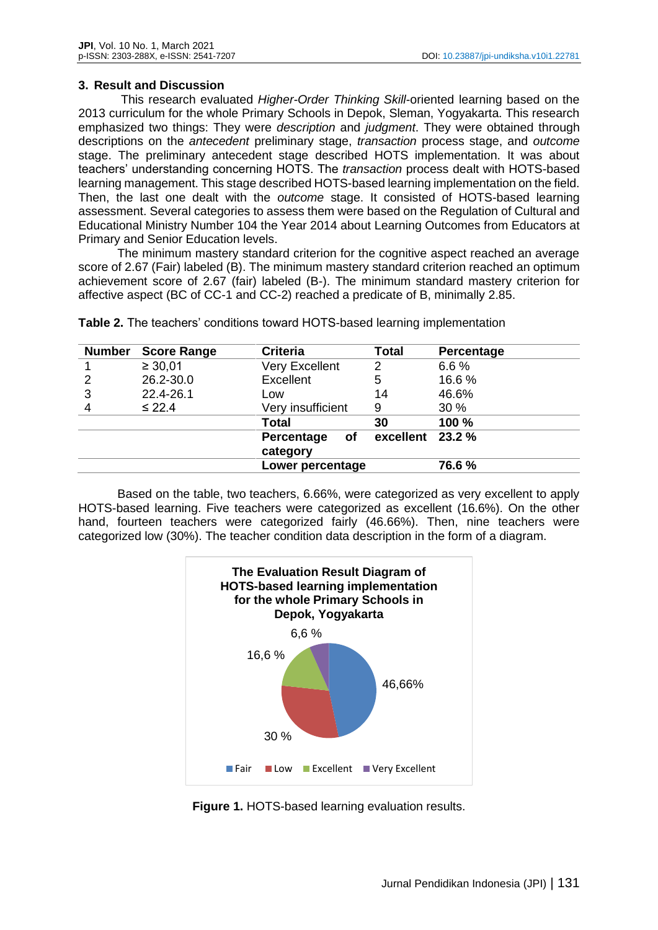#### **3. Result and Discussion**

This research evaluated *Higher-Order Thinking Skill*-oriented learning based on the 2013 curriculum for the whole Primary Schools in Depok, Sleman, Yogyakarta. This research emphasized two things: They were *description* and *judgment*. They were obtained through descriptions on the *antecedent* preliminary stage, *transaction* process stage, and *outcome* stage. The preliminary antecedent stage described HOTS implementation. It was about teachers' understanding concerning HOTS. The *transaction* process dealt with HOTS-based learning management. This stage described HOTS-based learning implementation on the field. Then, the last one dealt with the *outcome* stage. It consisted of HOTS-based learning assessment. Several categories to assess them were based on the Regulation of Cultural and Educational Ministry Number 104 the Year 2014 about Learning Outcomes from Educators at Primary and Senior Education levels.

The minimum mastery standard criterion for the cognitive aspect reached an average score of 2.67 (Fair) labeled (B). The minimum mastery standard criterion reached an optimum achievement score of 2.67 (fair) labeled (B-). The minimum standard mastery criterion for affective aspect (BC of CC-1 and CC-2) reached a predicate of B, minimally 2.85.

| <b>Number</b> | <b>Score Range</b> | <b>Criteria</b>              | <b>Total</b>     | Percentage |
|---------------|--------------------|------------------------------|------------------|------------|
|               | $\geq 30,01$       | Very Excellent               | 2                | 6.6%       |
| 2             | 26.2-30.0          | Excellent                    | 5                | 16.6%      |
| 3             | 22.4-26.1          | Low                          | 14               | 46.6%      |
|               | $\leq 22.4$        | Very insufficient            | 9                | 30 %       |
|               |                    | <b>Total</b>                 | 30               | 100 %      |
|               |                    | Percentage<br>οf<br>category | excellent 23.2 % |            |
|               |                    | Lower percentage             |                  | 76.6%      |

**Table 2.** The teachers' conditions toward HOTS-based learning implementation

Based on the table, two teachers, 6.66%, were categorized as very excellent to apply HOTS-based learning. Five teachers were categorized as excellent (16.6%). On the other hand, fourteen teachers were categorized fairly (46.66%). Then, nine teachers were categorized low (30%). The teacher condition data description in the form of a diagram.



**Figure 1.** HOTS-based learning evaluation results.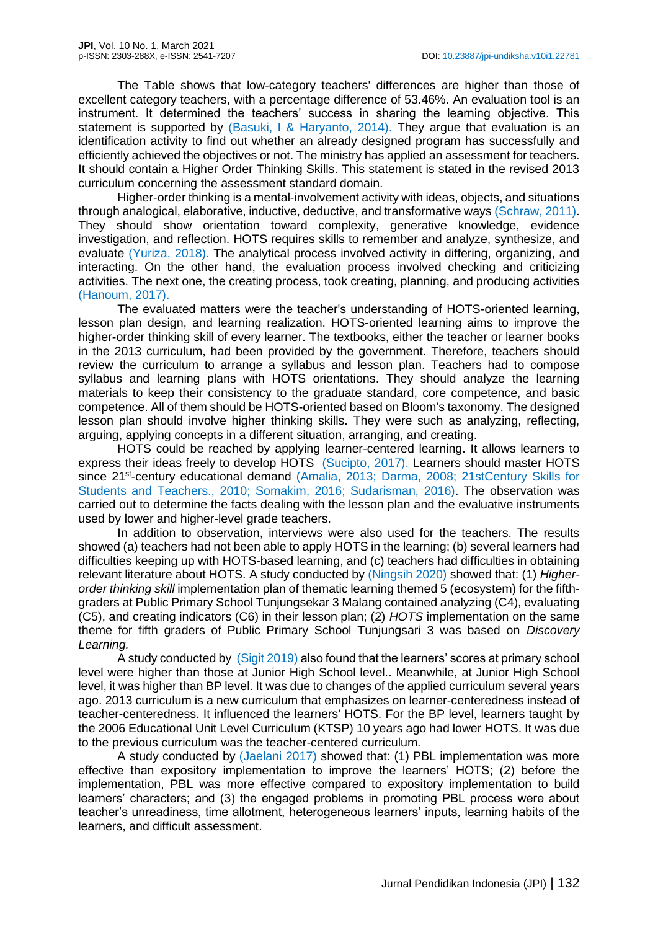The Table shows that low-category teachers' differences are higher than those of excellent category teachers, with a percentage difference of 53.46%. An evaluation tool is an instrument. It determined the teachers' success in sharing the learning objective. This statement is supported by (Basuki, I & Haryanto, 2014). They argue that evaluation is an identification activity to find out whether an already designed program has successfully and efficiently achieved the objectives or not. The ministry has applied an assessment for teachers. It should contain a Higher Order Thinking Skills. This statement is stated in the revised 2013 curriculum concerning the assessment standard domain.

Higher-order thinking is a mental-involvement activity with ideas, objects, and situations through analogical, elaborative, inductive, deductive, and transformative ways (Schraw, 2011). They should show orientation toward complexity, generative knowledge, evidence investigation, and reflection. HOTS requires skills to remember and analyze, synthesize, and evaluate (Yuriza, 2018). The analytical process involved activity in differing, organizing, and interacting. On the other hand, the evaluation process involved checking and criticizing activities. The next one, the creating process, took creating, planning, and producing activities (Hanoum, 2017).

The evaluated matters were the teacher's understanding of HOTS-oriented learning, lesson plan design, and learning realization. HOTS-oriented learning aims to improve the higher-order thinking skill of every learner. The textbooks, either the teacher or learner books in the 2013 curriculum, had been provided by the government. Therefore, teachers should review the curriculum to arrange a syllabus and lesson plan. Teachers had to compose syllabus and learning plans with HOTS orientations. They should analyze the learning materials to keep their consistency to the graduate standard, core competence, and basic competence. All of them should be HOTS-oriented based on Bloom's taxonomy. The designed lesson plan should involve higher thinking skills. They were such as analyzing, reflecting, arguing, applying concepts in a different situation, arranging, and creating.

HOTS could be reached by applying learner-centered learning. It allows learners to express their ideas freely to develop HOTS (Sucipto, 2017). Learners should master HOTS since 21<sup>st</sup>-century educational demand (Amalia, 2013; Darma, 2008; 21stCentury Skills for Students and Teachers., 2010; Somakim, 2016; Sudarisman, 2016). The observation was carried out to determine the facts dealing with the lesson plan and the evaluative instruments used by lower and higher-level grade teachers.

In addition to observation, interviews were also used for the teachers. The results showed (a) teachers had not been able to apply HOTS in the learning; (b) several learners had difficulties keeping up with HOTS-based learning, and (c) teachers had difficulties in obtaining relevant literature about HOTS. A study conducted by (Ningsih 2020) showed that: (1) *Higherorder thinking skill* implementation plan of thematic learning themed 5 (ecosystem) for the fifthgraders at Public Primary School Tunjungsekar 3 Malang contained analyzing (C4), evaluating (C5), and creating indicators (C6) in their lesson plan; (2) *HOTS* implementation on the same theme for fifth graders of Public Primary School Tunjungsari 3 was based on *Discovery Learning.*

A study conducted by (Sigit 2019) also found that the learners' scores at primary school level were higher than those at Junior High School level.. Meanwhile, at Junior High School level, it was higher than BP level. It was due to changes of the applied curriculum several years ago. 2013 curriculum is a new curriculum that emphasizes on learner-centeredness instead of teacher-centeredness. It influenced the learners' HOTS. For the BP level, learners taught by the 2006 Educational Unit Level Curriculum (KTSP) 10 years ago had lower HOTS. It was due to the previous curriculum was the teacher-centered curriculum.

A study conducted by (Jaelani 2017) showed that: (1) PBL implementation was more effective than expository implementation to improve the learners' HOTS; (2) before the implementation, PBL was more effective compared to expository implementation to build learners' characters; and (3) the engaged problems in promoting PBL process were about teacher's unreadiness, time allotment, heterogeneous learners' inputs, learning habits of the learners, and difficult assessment.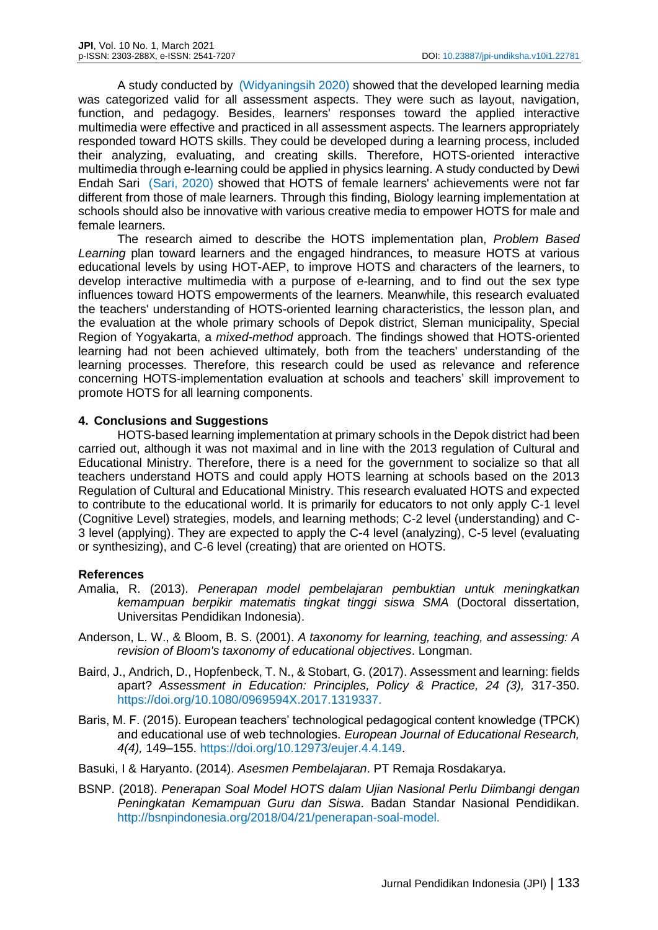A study conducted by (Widyaningsih 2020) showed that the developed learning media was categorized valid for all assessment aspects. They were such as layout, navigation, function, and pedagogy. Besides, learners' responses toward the applied interactive multimedia were effective and practiced in all assessment aspects. The learners appropriately responded toward HOTS skills. They could be developed during a learning process, included their analyzing, evaluating, and creating skills. Therefore, HOTS-oriented interactive multimedia through e-learning could be applied in physics learning. A study conducted by Dewi Endah Sari (Sari, 2020) showed that HOTS of female learners' achievements were not far different from those of male learners. Through this finding, Biology learning implementation at schools should also be innovative with various creative media to empower HOTS for male and female learners.

The research aimed to describe the HOTS implementation plan, *Problem Based Learning* plan toward learners and the engaged hindrances, to measure HOTS at various educational levels by using HOT-AEP, to improve HOTS and characters of the learners, to develop interactive multimedia with a purpose of e-learning, and to find out the sex type influences toward HOTS empowerments of the learners. Meanwhile, this research evaluated the teachers' understanding of HOTS-oriented learning characteristics, the lesson plan, and the evaluation at the whole primary schools of Depok district, Sleman municipality, Special Region of Yogyakarta, a *mixed-method* approach. The findings showed that HOTS-oriented learning had not been achieved ultimately, both from the teachers' understanding of the learning processes. Therefore, this research could be used as relevance and reference concerning HOTS-implementation evaluation at schools and teachers' skill improvement to promote HOTS for all learning components.

## **4. Conclusions and Suggestions**

HOTS-based learning implementation at primary schools in the Depok district had been carried out, although it was not maximal and in line with the 2013 regulation of Cultural and Educational Ministry. Therefore, there is a need for the government to socialize so that all teachers understand HOTS and could apply HOTS learning at schools based on the 2013 Regulation of Cultural and Educational Ministry. This research evaluated HOTS and expected to contribute to the educational world. It is primarily for educators to not only apply C-1 level (Cognitive Level) strategies, models, and learning methods; C-2 level (understanding) and C-3 level (applying). They are expected to apply the C-4 level (analyzing), C-5 level (evaluating or synthesizing), and C-6 level (creating) that are oriented on HOTS.

## **References**

- Amalia, R. (2013). *Penerapan model pembelajaran pembuktian untuk meningkatkan kemampuan berpikir matematis tingkat tinggi siswa SMA* (Doctoral dissertation, Universitas Pendidikan Indonesia).
- Anderson, L. W., & Bloom, B. S. (2001). *A taxonomy for learning, teaching, and assessing: A revision of Bloom's taxonomy of educational objectives*. Longman.
- Baird, J., Andrich, D., Hopfenbeck, T. N., & Stobart, G. (2017). Assessment and learning: fields apart? *Assessment in Education: Principles, Policy & Practice, 24 (3),* 317-350. https://doi.org/10.1080/0969594X.2017.1319337.
- Baris, M. F. (2015). European teachers' technological pedagogical content knowledge (TPCK) and educational use of web technologies. *European Journal of Educational Research, 4(4),* 149–155. https://doi.org/10.12973/eujer.4.4.149.
- Basuki, I & Haryanto. (2014). *Asesmen Pembelajaran*. PT Remaja Rosdakarya.
- BSNP. (2018). *Penerapan Soal Model HOTS dalam Ujian Nasional Perlu Diimbangi dengan Peningkatan Kemampuan Guru dan Siswa*. Badan Standar Nasional Pendidikan. http://bsnpindonesia.org/2018/04/21/penerapan-soal-model.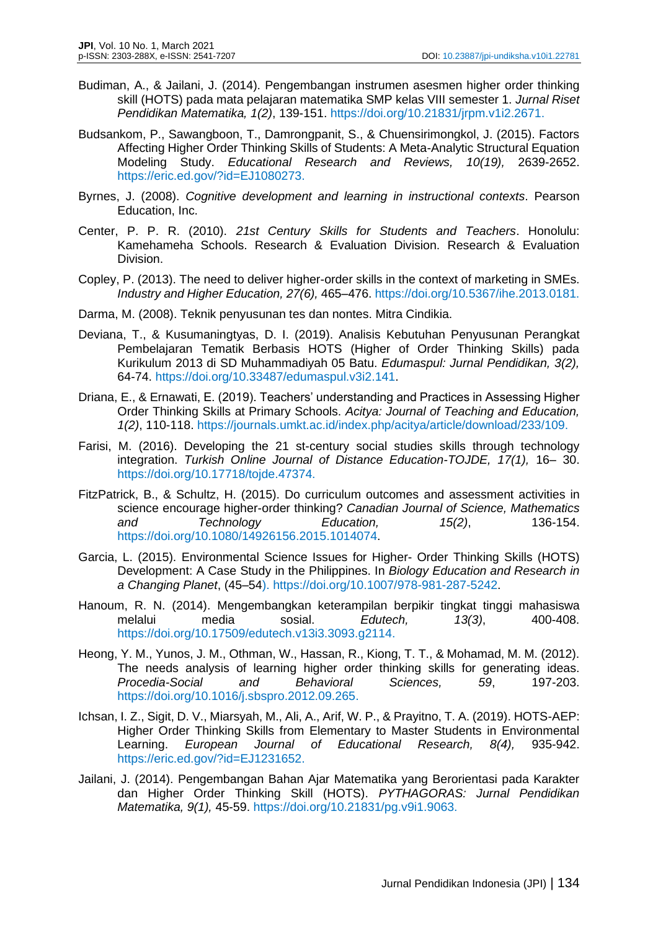- Budiman, A., & Jailani, J. (2014). Pengembangan instrumen asesmen higher order thinking skill (HOTS) pada mata pelajaran matematika SMP kelas VIII semester 1. *Jurnal Riset Pendidikan Matematika, 1(2)*, 139-151. https://doi.org/10.21831/jrpm.v1i2.2671.
- Budsankom, P., Sawangboon, T., Damrongpanit, S., & Chuensirimongkol, J. (2015). Factors Affecting Higher Order Thinking Skills of Students: A Meta-Analytic Structural Equation Modeling Study. *Educational Research and Reviews, 10(19),* 2639-2652. https://eric.ed.gov/?id=EJ1080273.
- Byrnes, J. (2008). *Cognitive development and learning in instructional contexts*. Pearson Education, Inc.
- Center, P. P. R. (2010). *21st Century Skills for Students and Teachers*. Honolulu: Kamehameha Schools. Research & Evaluation Division. Research & Evaluation Division.
- Copley, P. (2013). The need to deliver higher-order skills in the context of marketing in SMEs. *Industry and Higher Education, 27(6),* 465–476. https://doi.org/10.5367/ihe.2013.0181.
- Darma, M. (2008). Teknik penyusunan tes dan nontes. Mitra Cindikia.
- Deviana, T., & Kusumaningtyas, D. I. (2019). Analisis Kebutuhan Penyusunan Perangkat Pembelajaran Tematik Berbasis HOTS (Higher of Order Thinking Skills) pada Kurikulum 2013 di SD Muhammadiyah 05 Batu. *Edumaspul: Jurnal Pendidikan, 3(2),* 64-74. https://doi.org/10.33487/edumaspul.v3i2.141.
- Driana, E., & Ernawati, E. (2019). Teachers' understanding and Practices in Assessing Higher Order Thinking Skills at Primary Schools. *Acitya: Journal of Teaching and Education, 1(2)*, 110-118. https://journals.umkt.ac.id/index.php/acitya/article/download/233/109.
- Farisi, M. (2016). Developing the 21 st-century social studies skills through technology integration. *Turkish Online Journal of Distance Education-TOJDE, 17(1),* 16– 30. https://doi.org/10.17718/tojde.47374.
- FitzPatrick, B., & Schultz, H. (2015). Do curriculum outcomes and assessment activities in science encourage higher-order thinking? *Canadian Journal of Science, Mathematics and Technology Education, 15(2)*, 136-154. https://doi.org/10.1080/14926156.2015.1014074.
- Garcia, L. (2015). Environmental Science Issues for Higher- Order Thinking Skills (HOTS) Development: A Case Study in the Philippines. In *Biology Education and Research in a Changing Planet*, (45–54). https://doi.org/10.1007/978-981-287-5242.
- Hanoum, R. N. (2014). Mengembangkan keterampilan berpikir tingkat tinggi mahasiswa melalui media sosial. *Edutech, 13(3)*, 400-408. https://doi.org/10.17509/edutech.v13i3.3093.g2114.
- Heong, Y. M., Yunos, J. M., Othman, W., Hassan, R., Kiong, T. T., & Mohamad, M. M. (2012). The needs analysis of learning higher order thinking skills for generating ideas. *Procedia-Social and Behavioral Sciences, 59*, 197-203. https://doi.org/10.1016/j.sbspro.2012.09.265.
- Ichsan, I. Z., Sigit, D. V., Miarsyah, M., Ali, A., Arif, W. P., & Prayitno, T. A. (2019). HOTS-AEP: Higher Order Thinking Skills from Elementary to Master Students in Environmental Learning. *European Journal of Educational Research, 8(4),* 935-942. https://eric.ed.gov/?id=EJ1231652.
- Jailani, J. (2014). Pengembangan Bahan Ajar Matematika yang Berorientasi pada Karakter dan Higher Order Thinking Skill (HOTS). *PYTHAGORAS: Jurnal Pendidikan Matematika, 9(1),* 45-59. https://doi.org/10.21831/pg.v9i1.9063.